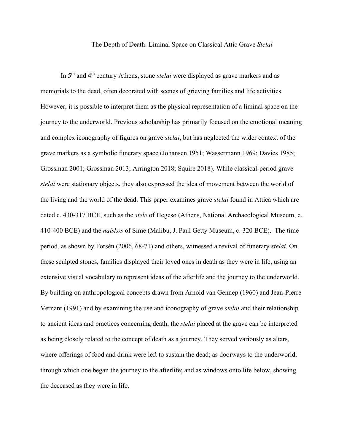## The Depth of Death: Liminal Space on Classical Attic Grave *Stelai*

In 5th and 4th century Athens, stone *stelai* were displayed as grave markers and as memorials to the dead, often decorated with scenes of grieving families and life activities. However, it is possible to interpret them as the physical representation of a liminal space on the journey to the underworld. Previous scholarship has primarily focused on the emotional meaning and complex iconography of figures on grave *stelai*, but has neglected the wider context of the grave markers as a symbolic funerary space (Johansen 1951; Wassermann 1969; Davies 1985; Grossman 2001; Grossman 2013; Arrington 2018; Squire 2018). While classical-period grave *stelai* were stationary objects, they also expressed the idea of movement between the world of the living and the world of the dead. This paper examines grave *stelai* found in Attica which are dated c. 430-317 BCE, such as the *stele* of Hegeso (Athens, National Archaeological Museum, c. 410-400 BCE) and the *naiskos* of Sime (Malibu, J. Paul Getty Museum, c. 320 BCE). The time period, as shown by Forsén (2006, 68-71) and others, witnessed a revival of funerary *stelai*. On these sculpted stones, families displayed their loved ones in death as they were in life, using an extensive visual vocabulary to represent ideas of the afterlife and the journey to the underworld. By building on anthropological concepts drawn from Arnold van Gennep (1960) and Jean-Pierre Vernant (1991) and by examining the use and iconography of grave *stelai* and their relationship to ancient ideas and practices concerning death, the *stelai* placed at the grave can be interpreted as being closely related to the concept of death as a journey. They served variously as altars, where offerings of food and drink were left to sustain the dead; as doorways to the underworld, through which one began the journey to the afterlife; and as windows onto life below, showing the deceased as they were in life.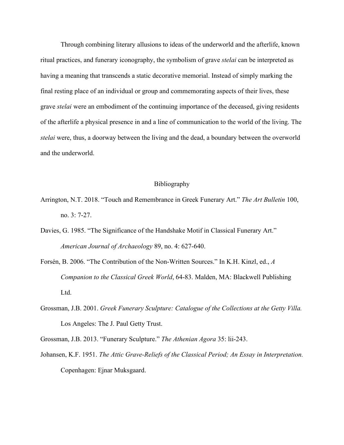Through combining literary allusions to ideas of the underworld and the afterlife, known ritual practices, and funerary iconography, the symbolism of grave *stelai* can be interpreted as having a meaning that transcends a static decorative memorial. Instead of simply marking the final resting place of an individual or group and commemorating aspects of their lives, these grave *stelai* were an embodiment of the continuing importance of the deceased, giving residents of the afterlife a physical presence in and a line of communication to the world of the living. The *stelai* were, thus, a doorway between the living and the dead, a boundary between the overworld and the underworld.

## Bibliography

- Arrington, N.T. 2018. "Touch and Remembrance in Greek Funerary Art." *The Art Bulletin* 100, no. 3: 7-27.
- Davies, G. 1985. "The Significance of the Handshake Motif in Classical Funerary Art." *American Journal of Archaeology* 89, no. 4: 627-640.
- Forsén, B. 2006. "The Contribution of the Non-Written Sources." In K.H. Kinzl, ed., *A Companion to the Classical Greek World*, 64-83. Malden, MA: Blackwell Publishing Ltd.
- Grossman, J.B. 2001. *Greek Funerary Sculpture: Catalogue of the Collections at the Getty Villa.*  Los Angeles: The J. Paul Getty Trust.
- Grossman, J.B. 2013. "Funerary Sculpture." *The Athenian Agora* 35: lii-243.
- Johansen, K.F. 1951. *The Attic Grave-Reliefs of the Classical Period; An Essay in Interpretation.* Copenhagen: Ejnar Muksgaard.